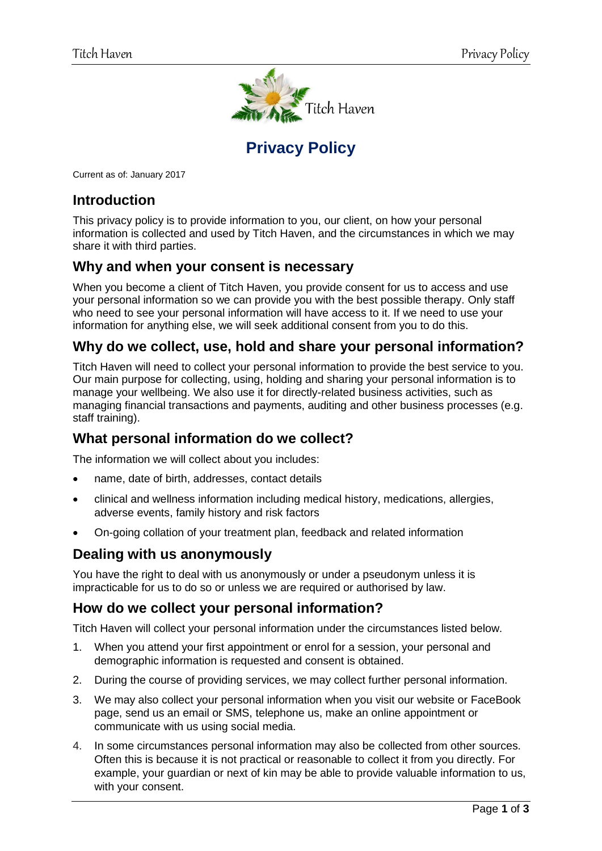

# **Privacy Policy**

Current as of: January 2017

### **Introduction**

This privacy policy is to provide information to you, our client, on how your personal information is collected and used by Titch Haven, and the circumstances in which we may share it with third parties.

### **Why and when your consent is necessary**

When you become a client of Titch Haven, you provide consent for us to access and use your personal information so we can provide you with the best possible therapy. Only staff who need to see your personal information will have access to it. If we need to use your information for anything else, we will seek additional consent from you to do this.

### **Why do we collect, use, hold and share your personal information?**

Titch Haven will need to collect your personal information to provide the best service to you. Our main purpose for collecting, using, holding and sharing your personal information is to manage your wellbeing. We also use it for directly-related business activities, such as managing financial transactions and payments, auditing and other business processes (e.g. staff training).

### **What personal information do we collect?**

The information we will collect about you includes:

- name, date of birth, addresses, contact details
- clinical and wellness information including medical history, medications, allergies, adverse events, family history and risk factors
- On-going collation of your treatment plan, feedback and related information

#### **Dealing with us anonymously**

You have the right to deal with us anonymously or under a pseudonym unless it is impracticable for us to do so or unless we are required or authorised by law.

#### **How do we collect your personal information?**

Titch Haven will collect your personal information under the circumstances listed below.

- 1. When you attend your first appointment or enrol for a session, your personal and demographic information is requested and consent is obtained.
- 2. During the course of providing services, we may collect further personal information.
- 3. We may also collect your personal information when you visit our website or FaceBook page, send us an email or SMS, telephone us, make an online appointment or communicate with us using social media.
- 4. In some circumstances personal information may also be collected from other sources. Often this is because it is not practical or reasonable to collect it from you directly. For example, your guardian or next of kin may be able to provide valuable information to us, with your consent.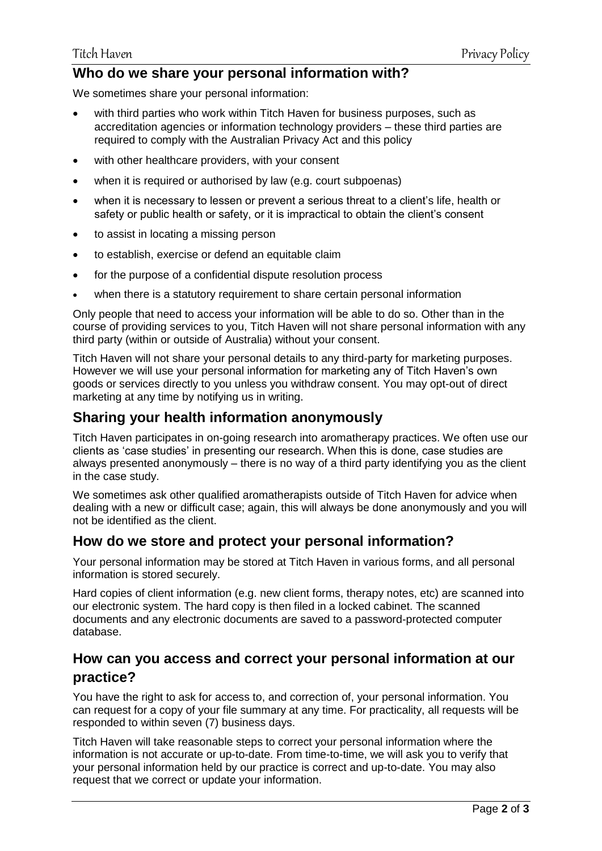### **Who do we share your personal information with?**

We sometimes share your personal information:

- with third parties who work within Titch Haven for business purposes, such as accreditation agencies or information technology providers – these third parties are required to comply with the Australian Privacy Act and this policy
- with other healthcare providers, with your consent
- when it is required or authorised by law (e.g. court subpoenas)
- when it is necessary to lessen or prevent a serious threat to a client's life, health or safety or public health or safety, or it is impractical to obtain the client's consent
- to assist in locating a missing person
- to establish, exercise or defend an equitable claim
- for the purpose of a confidential dispute resolution process
- when there is a statutory requirement to share certain personal information

Only people that need to access your information will be able to do so. Other than in the course of providing services to you, Titch Haven will not share personal information with any third party (within or outside of Australia) without your consent.

Titch Haven will not share your personal details to any third-party for marketing purposes. However we will use your personal information for marketing any of Titch Haven's own goods or services directly to you unless you withdraw consent. You may opt-out of direct marketing at any time by notifying us in writing.

### **Sharing your health information anonymously**

Titch Haven participates in on-going research into aromatherapy practices. We often use our clients as 'case studies' in presenting our research. When this is done, case studies are always presented anonymously – there is no way of a third party identifying you as the client in the case study.

We sometimes ask other qualified aromatherapists outside of Titch Haven for advice when dealing with a new or difficult case; again, this will always be done anonymously and you will not be identified as the client.

### **How do we store and protect your personal information?**

Your personal information may be stored at Titch Haven in various forms, and all personal information is stored securely.

Hard copies of client information (e.g. new client forms, therapy notes, etc) are scanned into our electronic system. The hard copy is then filed in a locked cabinet. The scanned documents and any electronic documents are saved to a password-protected computer database.

## **How can you access and correct your personal information at our practice?**

You have the right to ask for access to, and correction of, your personal information. You can request for a copy of your file summary at any time. For practicality, all requests will be responded to within seven (7) business days.

Titch Haven will take reasonable steps to correct your personal information where the information is not accurate or up-to-date. From time-to-time, we will ask you to verify that your personal information held by our practice is correct and up-to-date. You may also request that we correct or update your information.